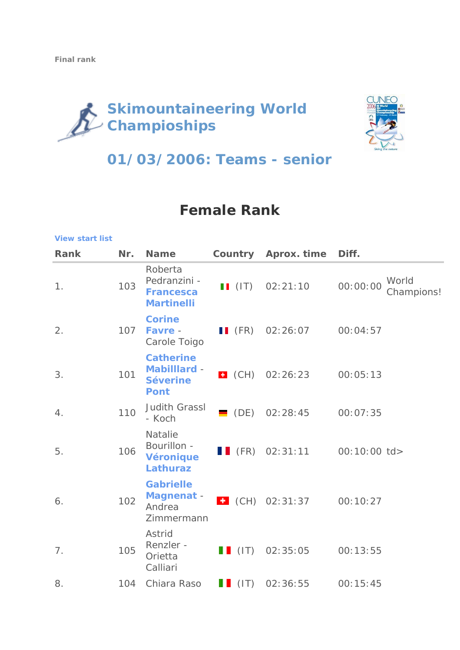**[View start list](http://www.skimountaineering.org/node/258)**

# **Skimountaineering World Champioships**



## **01/03/2006: Teams - senior**

### **Female Rank**

| <b>Rank</b> | Nr. | <b>Name</b>                                                               |                     | <b>Country Aprox. time</b>                | Diff.                           |
|-------------|-----|---------------------------------------------------------------------------|---------------------|-------------------------------------------|---------------------------------|
| 1.          | 103 | Roberta<br>Pedranzini -<br><b>Francesca</b><br><b>Martinelli</b>          |                     | $\blacksquare$ (IT) 02:21:10              | World<br>00:00:00<br>Champions! |
| 2.          | 107 | <b>Corine</b><br>Favre -<br>Carole Toigo                                  |                     | $\blacksquare$ (FR) 02:26:07              | 00:04:57                        |
| 3.          | 101 | <b>Catherine</b><br><b>Mabilllard -</b><br><b>Séverine</b><br><b>Pont</b> |                     | $\bullet$ (CH) 02:26:23                   | 00:05:13                        |
| 4.          | 110 | <b>Judith Grassl</b><br>- Koch                                            | $\blacksquare$ (DE) | 02:28:45                                  | 00:07:35                        |
| 5.          | 106 | <b>Natalie</b><br>Bourillon -<br><b>Véronique</b><br><b>Lathuraz</b>      |                     | $\blacksquare$ (FR) 02:31:11 00:10:00 td> |                                 |
| 6.          | 102 | <b>Gabrielle</b><br><b>Magnenat -</b><br>Andrea<br>Zimmermann             |                     | $\bullet$ (CH) 02:31:37                   | 00:10:27                        |
| 7.          | 105 | Astrid<br>Renzler -<br>Orietta<br>Calliari                                | $\blacksquare$ (IT) | 02:35:05                                  | 00:13:55                        |
| 8.          | 104 | Chiara Raso                                                               | $\blacksquare$ (IT) | 02:36:55                                  | 00:15:45                        |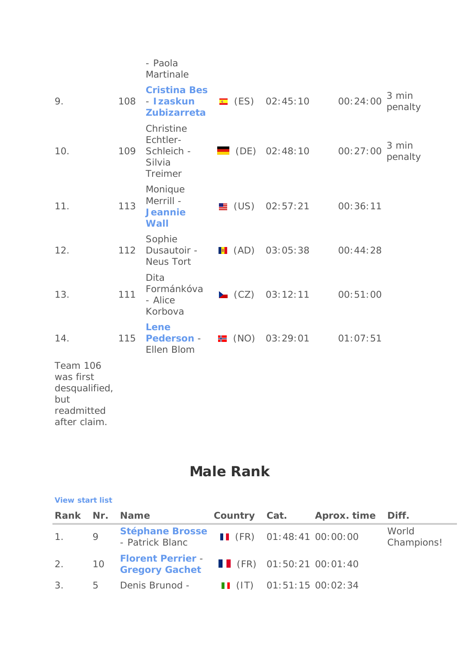### - Paola Martinale

| 9.                                                                          | 108 | <b>Cristina Bes</b><br>- Izaskun<br><b>Zubizarreta</b>          |                     | E (ES) 02:45:10              | 00:24:00 | 3 min<br>penalty |
|-----------------------------------------------------------------------------|-----|-----------------------------------------------------------------|---------------------|------------------------------|----------|------------------|
| 10.                                                                         | 109 | Christine<br>Echtler-<br>Schleich -<br>Silvia<br><b>Treimer</b> |                     | $\blacksquare$ (DE) 02:48:10 | 00:27:00 | 3 min<br>penalty |
| 11.                                                                         | 113 | Monique<br>Merrill -<br><b>Jeannie</b><br><b>Wall</b>           |                     | $\blacksquare$ (US) 02:57:21 | 00:36:11 |                  |
| 12.                                                                         | 112 | Sophie<br>Dusautoir -<br><b>Neus Tort</b>                       |                     | $\bullet$ (AD) 03:05:38      | 00:44:28 |                  |
| 13.                                                                         | 111 | Dita<br>Formánkóva<br>- Alice<br>Korbova                        |                     | $CZ$ 03:12:11                | 00:51:00 |                  |
| 14.                                                                         | 115 | Lene<br><b>Pederson -</b><br>Ellen Blom                         | $\blacksquare$ (NO) | 03:29:01                     | 01:07:51 |                  |
| Team 106<br>was first<br>desqualified,<br>but<br>readmitted<br>after claim. |     |                                                                 |                     |                              |          |                  |

### **Male Rank**

#### **[View start list](http://www.skimountaineering.org/node/259)**

|     |                | Rank Nr. Name                                     | Country Cat. | Aprox. time Diff.                     |                     |  |
|-----|----------------|---------------------------------------------------|--------------|---------------------------------------|---------------------|--|
| 1.9 |                | <b>Stéphane Brosse</b><br>- Patrick Blanc         |              | II (FR) $01:48:41$ 00:00:00           | World<br>Champions! |  |
| 2.  | 10             | <b>Florent Perrier -</b><br><b>Gregory Gachet</b> |              | $\blacksquare$ (FR) 01:50:21 00:01:40 |                     |  |
| 3.  | 5 <sup>5</sup> | Denis Brunod -                                    |              | II (IT) 01:51:15 00:02:34             |                     |  |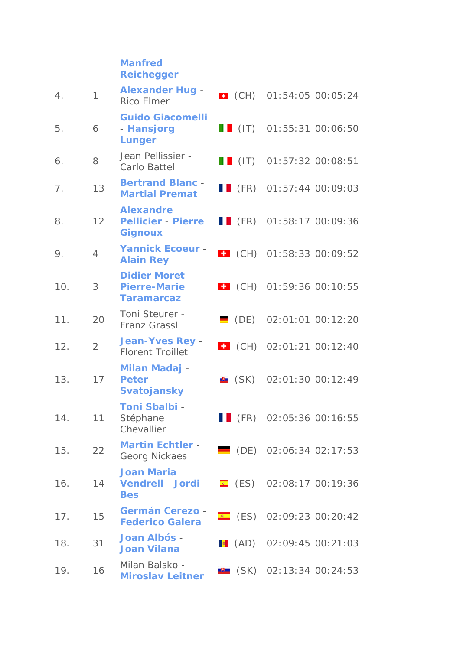### **[Manfred](http://www.skimountaineering.org/node/241?IdRacer=169)  [Reichegger](http://www.skimountaineering.org/node/241?IdRacer=169)**

| 4.  | 1              | <b>Alexander Hug -</b><br><b>Rico Elmer</b>                       |                     | $\bullet$ (CH) 01:54:05 00:05:24      |
|-----|----------------|-------------------------------------------------------------------|---------------------|---------------------------------------|
| 5.  | 6              | <b>Guido Giacomelli</b><br>- Hansjorg<br><b>Lunger</b>            |                     | $\blacksquare$ (IT) 01:55:31 00:06:50 |
| 6.  | 8              | Jean Pellissier -<br>Carlo Battel                                 |                     | $\blacksquare$ (IT) 01:57:32 00:08:51 |
| 7.  | 13             | <b>Bertrand Blanc -</b><br><b>Martial Premat</b>                  |                     | $\blacksquare$ (FR) 01:57:44 00:09:03 |
| 8.  | 12             | <b>Alexandre</b><br><b>Pellicier - Pierre</b><br><b>Gignoux</b>   |                     | $\blacksquare$ (FR) 01:58:17 00:09:36 |
| 9.  | $\overline{4}$ | <b>Yannick Ecoeur -</b><br><b>Alain Rey</b>                       |                     | $\bullet$ (CH) 01:58:33 00:09:52      |
| 10. | 3              | <b>Didier Moret -</b><br><b>Pierre-Marie</b><br><b>Taramarcaz</b> |                     | $\bullet$ (CH) 01:59:36 00:10:55      |
| 11. | 20             | Toni Steurer -<br><b>Franz Grassl</b>                             | $\blacksquare$ (DE) | 02:01:01 00:12:20                     |
| 12. | $\overline{2}$ | <b>Jean-Yves Rey -</b><br><b>Florent Troillet</b>                 | $\bullet$ (CH)      | 02:01:21 00:12:40                     |
| 13. | 17             | <b>Milan Madaj -</b><br><b>Peter</b><br><b>Svatojansky</b>        | $\bullet$ (SK)      | 02:01:30 00:12:49                     |
| 14. | 11             | <b>Toni Sbalbi -</b><br>Stéphane<br>Chevallier                    | $\blacksquare$ (FR) | 02:05:36 00:16:55                     |
| 15. | 22             | <b>Martin Echtler -</b><br>Georg Nickaes                          |                     | $\blacksquare$ (DE) 02:06:34 02:17:53 |
| 16. | 14             | <b>Joan Maria</b><br><b>Vendrell - Jordi</b><br><b>Bes</b>        |                     | $E$ (ES) 02:08:17 00:19:36            |
| 17. | 15             | <b>Germán Cerezo -</b><br><b>Federico Galera</b>                  |                     | $\bullet$ (ES) 02:09:23 00:20:42      |
| 18. | 31             | Joan Albós -<br><b>Joan Vilana</b>                                |                     | $\bullet$ (AD) 02:09:45 00:21:03      |
| 19. | 16             | Milan Balsko -<br><b>Miroslav Leitner</b>                         |                     | $\bullet$ (SK) 02:13:34 00:24:53      |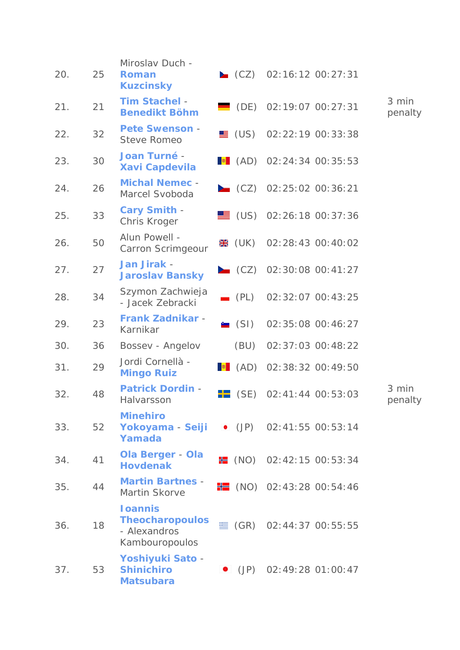| 20. | 25 | Miroslav Duch -<br><b>Roman</b><br><b>Kuzcinsky</b>                         |                     | $\Box$ (CZ) 02:16:12 00:27:31         |                   |                  |
|-----|----|-----------------------------------------------------------------------------|---------------------|---------------------------------------|-------------------|------------------|
| 21. | 21 | <b>Tim Stachel -</b><br><b>Benedikt Böhm</b>                                |                     | $\blacksquare$ (DE) 02:19:07 00:27:31 |                   | 3 min<br>penalty |
| 22. | 32 | <b>Pete Swenson -</b><br><b>Steve Romeo</b>                                 |                     | $\equiv$ (US) 02:22:19 00:33:38       |                   |                  |
| 23. | 30 | <b>Joan Turné -</b><br><b>Xavi Capdevila</b>                                |                     | $\bullet$ (AD) 02:24:34 00:35:53      |                   |                  |
| 24. | 26 | <b>Michal Nemec -</b><br>Marcel Svoboda                                     |                     | $\triangle$ (CZ) 02:25:02 00:36:21    |                   |                  |
| 25. | 33 | <b>Cary Smith -</b><br>Chris Kroger                                         |                     | $\equiv$ (US) 02:26:18 00:37:36       |                   |                  |
| 26. | 50 | Alun Powell -<br>Carron Scrimgeour                                          |                     | <b></b> (UK) 02:28:43 00:40:02        |                   |                  |
| 27. | 27 | Jan Jirak -<br><b>Jaroslav Bansky</b>                                       |                     | $\triangle$ (CZ) 02:30:08 00:41:27    |                   |                  |
| 28. | 34 | Szymon Zachwieja<br>- Jacek Zebracki                                        | $\blacksquare$ (PL) |                                       | 02:32:07 00:43:25 |                  |
| 29. | 23 | <b>Frank Zadnikar -</b><br>Karnikar                                         | $\blacksquare$ (SI) |                                       | 02:35:08 00:46:27 |                  |
| 30. | 36 | Bossev - Angelov                                                            | (BU)                |                                       | 02:37:03 00:48:22 |                  |
| 31. | 29 | Jordi Cornellà -<br><b>Mingo Ruiz</b>                                       |                     | $\bullet$ (AD) 02:38:32 00:49:50      |                   |                  |
| 32. | 48 | <b>Patrick Dordin -</b><br>Halvarsson                                       | $\blacksquare$ (SE) |                                       | 02:41:44 00:53:03 | 3 min<br>penalty |
| 33. | 52 | <b>Minehiro</b><br>Yokoyama - Seiji<br>Yamada                               |                     | $\bullet$ (JP) 02:41:55 00:53:14      |                   |                  |
| 34. | 41 | <b>Ola Berger - Ola</b><br><b>Hovdenak</b>                                  |                     | <b>E</b> (NO) 02:42:15 00:53:34       |                   |                  |
| 35. | 44 | <b>Martin Bartnes -</b><br>Martin Skorve                                    |                     | $\frac{1}{2}$ (NO) 02:43:28 00:54:46  |                   |                  |
| 36. | 18 | <b>I</b> oannis<br><b>Theocharopoulos</b><br>- Alexandros<br>Kambouropoulos |                     | $\equiv$ (GR) 02:44:37 00:55:55       |                   |                  |
| 37. | 53 | Yoshiyuki Sato -<br><b>Shinichiro</b><br><b>Matsubara</b>                   | $\bullet$ (JP)      |                                       | 02:49:28 01:00:47 |                  |